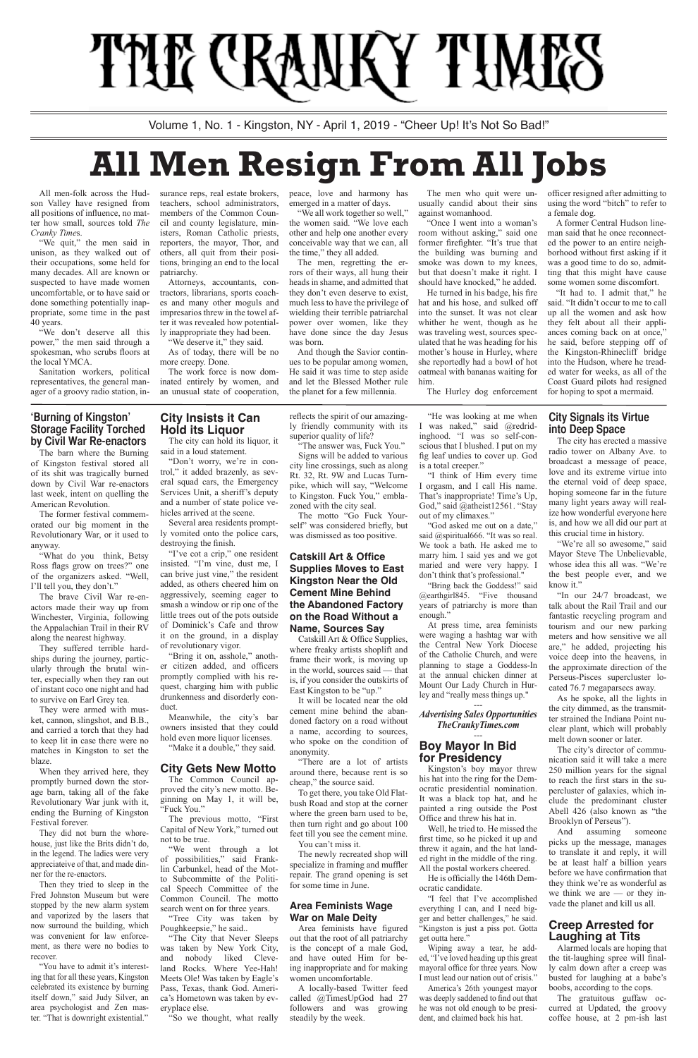#### **'Burning of Kingston' Storage Facility Torched by Civil War Re-enactors**

The barn where the Burning of Kingston festival stored all of its shit was tragically burned down by Civil War re-enactors last week, intent on quelling the American Revolution.

The former festival commemorated our big moment in the Revolutionary War, or it used to anyway.

"What do you think, Betsy Ross flags grow on trees?" one of the organizers asked. "Well, I'll tell you, they don't."

The brave Civil War re-enactors made their way up from Winchester, Virginia, following the Appalachian Trail in their RV along the nearest highway.

They suffered terrible hardships during the journey, particularly through the brutal winter, especially when they ran out of instant coco one night and had to survive on Earl Grey tea.

They were armed with musket, cannon, slingshot, and B.B., and carried a torch that they had to keep lit in case there were no matches in Kingston to set the blaze.

When they arrived here, they promptly burned down the storage barn, taking all of the fake Revolutionary War junk with it, ending the Burning of Kingston Festival forever.

"I've cot a crip," one resident insisted. "I'm vine, dust me, I can brive just vine," the resident added, as others cheered him on aggressively, seeming eager to smash a window or rip one of the little trees out of the pots outside of Dominick's Cafe and throw it on the ground, in a display of revolutionary vigor.

They did not burn the whorehouse, just like the Brits didn't do, in the legend. The ladies were very appreciateive of that, and made dinner for the re-enactors.

Meanwhile, the city's bar owners insisted that they could hold even more liquor licenses. "Make it a double," they said.

Then they tried to sleep in the Fred Johnston Museum but were stopped by the new alarm system and vaporized by the lasers that now surround the building, which was convenient for law enforcement, as there were no bodies to recover.

"You have to admit it's interesting that for all these years, Kingston celebrated its existence by burning itself down," said Judy Silver, an area psychologist and Zen master. "That is downright existential."

**City Insists it Can Hold its Liquor**

The city can hold its liquor, it said in a loud statement.

"Don't worry, we're in control," it added brazenly, as several squad cars, the Emergency Services Unit, a sheriff's deputy and a number of state police vehicles arrived at the scene.

Several area residents promptly vomited onto the police cars, destroying the finish.

"Bring it on, asshole," another citizen added, and officers promptly complied with his request, charging him with public drunkenness and disorderly conduct.

#### **City Gets New Motto**

The Common Council approved the city's new motto. Beginning on May 1, it will be, "Fuck You."

The previous motto, "First Capital of New York," turned out not to be true.

"We went through a lot of possibilities," said Franklin Carbunkel, head of the Motto Subcommitte of the Political Speech Committee of the Common Council. The motto search went on for three years.

"Tree City was taken by Poughkeepsie," he said..

"The City that Never Sleeps was taken by New York City, and nobody liked Cleveland Rocks. Where Yee-Hah! Meets Ole! Was taken by Eagle's Pass, Texas, thank God. America's Hometown was taken by everyplace else.

"So we thought, what really

reflects the spirit of our amazingly friendly community with its superior quality of life?

"The answer was, Fuck You." Signs will be added to various

city line crossings, such as along Rt. 32, Rt. 9W and Lucas Turnpike, which will say, "Welcome to Kingston. Fuck You," emblazoned with the city seal.

> "We're all so awesome," said Mayor Steve The Unbelievable, whose idea this all was. "We're the best people ever, and we know it."

The motto "Go Fuck Yourself" was considered briefly, but was dismissed as too positive.

#### **Catskill Art & Office Supplies Moves to East Kingston Near the Old Cement Mine Behind the Abandoned Factory on the Road Without a Name, Sources Say**

Catskill Art & Office Supplies, where freaky artists shoplift and frame their work, is moving up in the world, sources said — that is, if you consider the outskirts of East Kingston to be "up."

It will be located near the old cement mine behind the abandoned factory on a road without a name, according to sources, who spoke on the condition of anonymity.

"There are a lot of artists

around there, because rent is so cheap," the source said.

To get there, you take Old Flatbush Road and stop at the corner where the green barn used to be, then turn right and go about 100 feet till you see the cement mine. You can't miss it.

"We don't deserve all this power," the men said through a spokesman, who scrubs floors at the local YMCA.

> The newly recreated shop will specialize in framing and muffler repair. The grand opening is set for some time in June.

#### **Area Feminists Wage War on Male Deity**

Area feminists have figured out that the root of all patriarchy is the concept of a male God, and have outed Him for being inappropriate and for making women uncomfortable.

"We deserve it," they said. As of today, there will be no more creepy. Done.

> A locally-based Twitter feed called @TimesUpGod had 27 followers and was growing steadily by the week.

"He was looking at me when I was naked," said @redridinghood. "I was so self-conscious that I blushed. I put on my fig leaf undies to cover up. God is a total creeper."

"I think of Him every time I orgasm, and I call His name. That's inappropriate! Time's Up, God," said @atheist12561. "Stay out of my climaxes."

"God asked me out on a date," said @spiritual666. "It was so real. We took a bath. He asked me to marry him. I said yes and we got maried and were very happy. I don't think that's professional."

"Bring back the Goddess!" said @earthgirl845. "Five thousand years of patriarchy is more than enough."

At press time, area feminists were waging a hashtag war with the Central New York Diocese of the Catholic Church, and were planning to stage a Goddess-In at the annual chicken dinner at Mount Our Lady Church in Hurley and "really mess things up."

---

*Advertising Sales Opportunities TheCrankyTimes.com*

#### --- **Boy Mayor In Bid for Presidency**

Kingston's boy mayor threw his hat into the ring for the Democratic presidential nomination. It was a black top hat, and he painted a ring outside the Post Office and threw his hat in.

Well, he tried to. He missed the first time, so he picked it up and threw it again, and the hat landed right in the middle of the ring. All the postal workers cheered. He is officially the 146th Democratic candidate.

"I feel that I've accomplished everything I can, and I need bigger and better challenges," he said. "Kingston is just a piss pot. Gotta get outta here."

Wiping away a tear, he added, "I've loved heading up this great mayoral office for three years. Now I must lead our nation out of crisis." America's 26th youngest mayor was deeply saddened to find out that he was not old enough to be president, and claimed back his hat.

#### **City Signals its Virtue into Deep Space**

The city has erected a massive radio tower on Albany Ave. to broadcast a message of peace, love and its extreme virtue into the eternal void of deep space, hoping someone far in the future many light years away will realize how wonderful everyone here is, and how we all did our part at this crucial time in history.

"In our 24/7 broadcast, we talk about the Rail Trail and our fantastic recycling program and tourism and our new parking meters and how sensitive we all are," he added, projecting his voice deep into the heavens, in the approximate direction of the Perseus-Pisces supercluster located 76.7 megaparsecs away.

As he spoke, all the lights in the city dimmed, as the transmitter strained the Indiana Point nuclear plant, which will probably melt down sooner or later.

The city's director of communication said it will take a mere 250 million years for the signal to reach the first stars in the supercluster of galaxies, which include the predominant cluster Abell 426 (also known as "the Brooklyn of Perseus"). And assuming someone picks up the message, manages to translate it and reply, it will be at least half a billion years before we have confirmation that they think we're as wonderful as we think we are — or they invade the planet and kill us all.

# **Creep Arrested for Laughing at Tits**

Alarmed locals are hoping that the tit-laughing spree will finally calm down after a creep was busted for laughing at a babe's boobs, according to the cops.

The gratuitous guffaw occurred at Updated, the groovy coffee house, at 2 pm-ish last

# THE CRANKY TIMES

Volume 1, No. 1 - Kingston, NY - April 1, 2019 - "Cheer Up! It's Not So Bad!"

# **All Men Resign From All Jobs**

All men-folk across the Hudson Valley have resigned from all positions of influence, no matter how small, sources told *The Cranky Time*s.

"We quit," the men said in unison, as they walked out of their occupations, some held for many decades. All are known or suspected to have made women uncomfortable, or to have said or done something potentially inappropriate, some time in the past 40 years.

Sanitation workers, political representatives, the general manager of a groovy radio station, in-

surance reps, real estate brokers, teachers, school administrators, members of the Common Council and county legislature, ministers, Roman Catholic priests, reporters, the mayor, Thor, and others, all quit from their positions, bringing an end to the local patriarchy.

Attorneys, accountants, contractors, librarians, sports coaches and many other moguls and impresarios threw in the towel after it was revealed how potentially inappropriate they had been.

The work force is now dominated entirely by women, and an unusual state of cooperation, peace, love and harmony has emerged in a matter of days.

"We all work together so well," the women said. "We love each other and help one another every conceivable way that we can, all the time," they all added.

The men, regretting the errors of their ways, all hung their heads in shame, and admitted that they don't even deserve to exist, much less to have the privilege of wielding their terrible patriarchal power over women, like they have done since the day Jesus was born.

And though the Savior continues to be popular among women, He said it was time to step aside and let the Blessed Mother rule the planet for a few millennia.

The men who quit were unusually candid about their sins against womanhood.

"Once I went into a woman's room without asking," said one former firefighter. "It's true that the building was burning and smoke was down to my knees, but that doesn't make it right. I should have knocked," he added.

He turned in his badge, his fire hat and his hose, and sulked off into the sunset. It was not clear whither he went, though as he was traveling west, sources speculated that he was heading for his mother's house in Hurley, where she reportedly had a bowl of hot oatmeal with bananas waiting for him.

The Hurley dog enforcement

officer resigned after admitting to using the word "bitch" to refer to a female dog.

A former Central Hudson lineman said that he once reconnected the power to an entire neighborhood without first asking if it was a good time to do so, admitting that this might have cause some women some discomfort.

"It had to. I admit that," he said. "It didn't occur to me to call up all the women and ask how they felt about all their appliances coming back on at once," he said, before stepping off of the Kingston-Rhinecliff bridge into the Hudson, where he treaded water for weeks, as all of the Coast Guard pilots had resigned for hoping to spot a mermaid.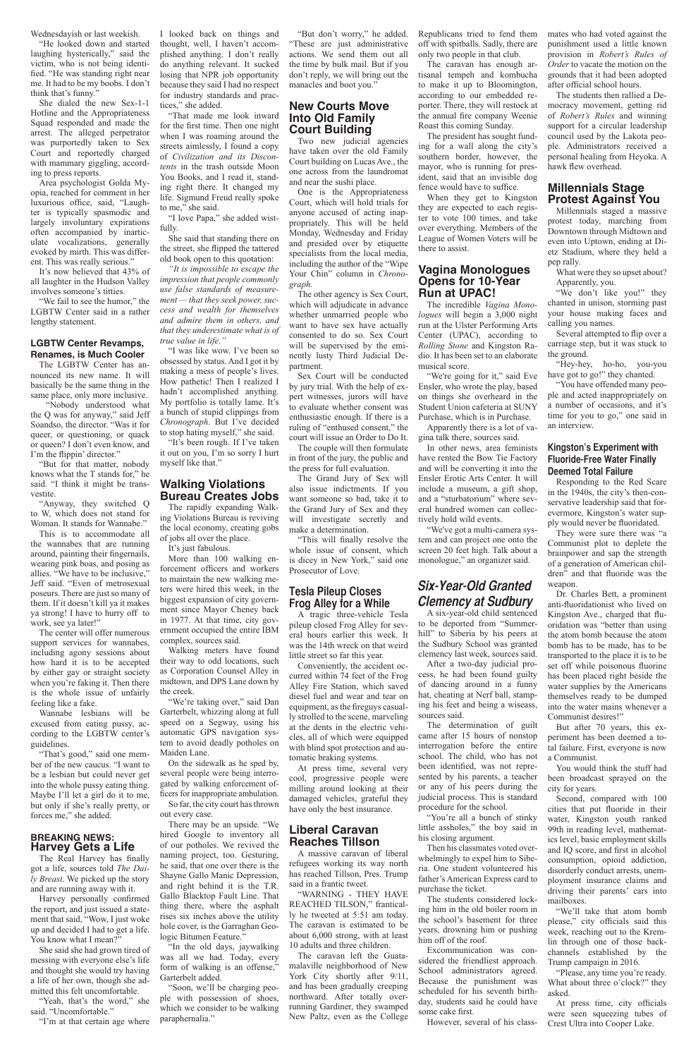Wednesdayish or last weekish.

"He looked down and started laughing hysterically," said the victim, who is not being identified. "He was standing right near me. It had to be my boobs. I don't think that's funny."

She dialed the new Sex-1-1 Hotline and the Appropriateness Squad responded and made the arrest. The alleged perpetrator was purportedly taken to Sex Court and reportedly charged with mammary giggling, according to press reports.

We fail to see the humor," the LGBTW Center said in a rather lengthy statement.

Area psychologist Golda Myopia, reached for comment in her luxurious office, said, "Laughter is typically spasmodic and largely involuntary expirations often accompanied by inarticulate vocalizations, generally evoked by mirth. This was different. This was really serious."

It's now believed that 43% of all laughter in the Hudson Valley involves someone's titties.

#### **LGBTW Center Revamps, Renames, is Much Cooler**

The LGBTW Center has announced its new name. It will basically be the same thing in the same place, only more inclusive.

 "Nobody understood what the Q was for anyway," said Jeff Soandso, the director. "Was it for queer, or questioning, or quack or queen? I don't even know, and I'm the flippin' director."

Harvey personally confirmed the report, and just issued a statement that said, "Wow, I just woke up and decided I had to get a life. You know what I mean?"

"But for that matter, nobody knows what the T stands for," he said. "I think it might be transvestite.

"Anyway, they switched Q to W, which does not stand for Woman. It stands for Wannabe."

This is to accommodate all the wannabes that are running around, painting their fingernails, wearing pink boas, and posing as allies. "We have to be inclusive," Jeff said. "Even of metrosexual poseurs. There are just so many of them. If it doesn't kill ya it makes ya strong! I have to hurry off to work, see ya later!"

The center will offer numerous support services for wannabes, including agony sessions about how hard it is to be accepted by either gay or straight society when you're faking it. Then there is the whole issue of unfairly feeling like a fake.

Wannabe lesbians will be excused from eating pussy, according to the LGBTW center's guidelines.

"That's good," said one member of the new caucus. "I want to be a lesbian but could never get into the whole pussy eating thing. Maybe I'll let a girl do it to me, but only if she's really pretty, or forces me," she added.

#### **BREAKING NEWS: Harvey Gets a Life**

The Real Harvey has finally got a life, sources told *The Daily Breast*. We picked up the story and are running away with it.

"We're taking over," said Dan Garterbelt, whizzing along at full speed on a Segway, using his automatic GPS navigation system to avoid deadly potholes on Maiden Lane.

She said she had grown tired of messing with everyone else's life and thought she would try having a life of her own, though she admitted this felt uncomfortable.

"Yeah, that's the word," she said. "Uncomfortable."

"I'm at that certain age where

I looked back on things and thought, well, I haven't accomplished anything. I don't really do anything relevant. It sucked losing that NPR job opportunity because they said I had no respect for industry standards and practices," she added.

"That made me look inward for the first time. Then one night when I was roaming around the streets aimlessly, I found a copy of *Civilization and its Discontents* in the trash outside Moon You Books, and I read it, standing right there. It changed my life. Sigmund Freud really spoke to me," she said.

"I love Papa," she added wistfully.

She said that standing there on the street, she flipped the tattered old book open to this quotation:

*"It is impossible to escape the impression that people commonly use false standards of measurement — that they seek power, success and wealth for themselves and admire them in others, and that they underestimate what is of true value in life."*

"I was like wow. I've been so obsessed by status. And I got it by making a mess of people's lives. How pathetic! Then I realized I hadn't accomplished anything. My portfolio is totally lame. It's a bunch of stupid clippings from *Chronograph*. But I've decided to stop hating myself," she said.

"It's been rough. If I've taken it out on you, I'm so sorry I hurt myself like that."

#### **Walking Violations Bureau Creates Jobs**

The rapidly expanding Walking Violations Bureau is reviving the local economy, creating gobs of jobs all over the place.

It's just fabulous.

More than 100 walking enforcement officers and workers to maintain the new walking meters were hired this week, in the biggest expansion of city government since Mayor Cheney back in 1977. At that time, city government occupied the entire IBM complex, sources said.

Walking meters have found their way to odd locations, such as Corporation Counsel Alley in midtown, and DPS Lane down by the creek.

On the sidewalk as he sped by,

several people were being interrogated by walking enforcement officers for inappropriate ambulation.

So far, the city court has thrown out every case.

There may be an upside. "We hired Google to inventory all of our potholes. We revived the naming project, too. Gesturing, he said, that one over there is the Shayne Gallo Manic Depression, and right behind it is the T.R. Gallo Blacktop Fault Line. That thing there, where the asphalt rises six inches above the utility hole cover, is the Garraghan Geologic Bitumen Feature."

"In the old days, jaywalking was all we had. Today, every form of walking is an offense," Garterbelt added.

"Soon, we'll be charging people with possession of shoes, which we consider to be walking paraphernalia."

"But don't worry," he added. "These are just administrative actions. We send them out all the time by bulk mail. But if you don't reply, we will bring out the manacles and boot you."

# **New Courts Move Into Old Family Court Building**

"We don't like you!" they chanted in unison, storming past your house making faces and calling you names.

Two new judicial agencies have taken over the old Family Court building on Lucas Ave., the one across from the laundromat and near the sushi place.

One is the Appropriateness Court, which will hold trials for anyone accused of acting inappropriately. This will be held Monday, Wednesday and Friday and presided over by etiquette specialists from the local media, including the author of the "Wipe Your Chin" column in *Chronograph.*

The other agency is Sex Court, which will adjudicate in advance whether unmarried people who want to have sex have actually consented to do so. Sex Court will be supervised by the eminently lusty Third Judicial Department.

Sex Court will be conducted by jury trial. With the help of expert witnesses, jurors will have to evaluate whether consent was enthusiastic enough. If there is a ruling of "enthused consent," the court will issue an Order to Do It.

The couple will then formulate in front of the jury, the public and the press for full evaluation.

The Grand Jury of Sex will also issue indictments. If you want someone so bad, take it to the Grand Jury of Sex and they will investigate secretly and make a determination.

"This will finally resolve the whole issue of consent, which is dicey in New York," said one Prosecutor of Love.

#### **Tesla Pileup Closes Frog Alley for a While**

A tragic three-vehicle Tesla pileup closed Frog Alley for several hours earlier this week. It was the 14th wreck on that weird little street so far this year.

Conveniently, the accident occurred within 74 feet of the Frog Alley Fire Station, which saved diesel fuel and wear and tear on equipment, as the fireguys casually strolled to the scene, marveling at the dents in the electric vehicles, all of which were equipped with blind spot protection and automatic braking systems.

At press time, several very cool, progressive people were milling around looking at their damaged vehicles, grateful they have only the best insurance.

#### **Liberal Caravan Reaches Tillson**

A massive caravan of liberal refugees working its way north has reached Tillson, Pres. Trump said in a frantic tweet.

"WARNING - THEY HAVE REACHED TILSON," frantically he tweeted at 5:51 am today. The caravan is estimated to be about 6,000 strong, with at least 10 adults and three children.

The caravan left the Guatamalaville neighborhood of New York City shortly after  $9/11$ , and has been gradually creeping northward. After totally overrunning Gardiner, they swamped New Paltz, even as the College Republicans tried to fend them off with spitballs. Sadly, there are only two people in that club.

The caravan has enough artisanal tempeh and kombucha to make it up to Bloomington, according to our embedded reporter. There, they will restock at the annual fire company Weenie Roast this coming Sunday.

The president has sought funding for a wall along the city's southern border, however, the mayor, who is running for president, said that an invisible dog fence would have to suffice.

When they get to Kingston they are expected to each register to vote 100 times, and take over everything. Members of the League of Women Voters will be there to assist.

#### **Vagina Monologues Opens for 10-Year Run at UPAC!**

The incredible *Vagina Monologues* will begin a 3,000 night run at the Ulster Performing Arts Center (UPAC), according to *Rolling Stone* and Kingston Radio. It has been set to an elaborate musical score.

"We're going for it," said Eve Ensler, who wrote the play, based on things she overheard in the Student Union cafeteria at SUNY Purchase, which is in Purchase.

Apparently there is a lot of vagina talk there, sources said.

In other news, area feminists have rented the Bow Tie Factory and will be converting it into the Ensler Erotic Arts Center. It will include a museum, a gift shop, and a "sturbatorium" where several hundred women can collectively hold wild events.

"We've got a multi-camera system and can project one onto the screen 20 feet high. Talk about a monologue," an organizer said.

# **Six-Year-Old Granted Clemency at Sudbury**

A six-year-old child sentenced to be deported from "Summerhill" to Siberia by his peers at the Sudbury School was granted clemency last week, sources said.

After a two-day judicial process, he had been found guilty of dancing around in a funny hat, cheating at Nerf ball, stamping his feet and being a wiseass, sources said.

The determination of guilt came after 15 hours of nonstop interrogation before the entire school. The child, who has not been identified, was not represented by his parents, a teacher or any of his peers during the judicial process. This is standard procedure for the school. "You're all a bunch of stinky little assholes," the boy said in his closing argument.

Then his classmates voted overwhelmingly to expel him to Siberia. One student volunteered his father's American Express card to purchase the ticket.

The students considered locking him in the old boiler room in the school's basement for three years, drowning him or pushing him off of the roof.

Excommunication was considered the friendliest approach. School administrators agreed. Because the punishment was scheduled for his seventh birthday, students said he could have some cake first.

However, several of his class-

mates who had voted against the punishment used a little known provision in *Robert's Rules of Order* to vacate the motion on the grounds that it had been adopted after official school hours.

The students then rallied a Democracy movement, getting rid of *Robert's Rules* and winning support for a circular leadership council used by the Lakota people. Administrators received a personal healing from Heyoka. A hawk flew overhead.

# **Millennials Stage Protest Against You**

Millennials staged a massive protest today, marching from Downtown through Midtown and even into Uptown, ending at Dietz Stadium, where they held a pep rally.

What were they so upset about? Apparently, you.

Several attempted to flip over a carriage step, but it was stuck to the ground.

"Hey-hey, ho-ho, you-you have got to go!" they chanted.

"You have offended many people and acted inappropriately on a number of occasions, and it's time for you to go," one said in an interview.

#### **Kingston's Experiment with Fluoride-Free Water Finally Deemed Total Failure**

Responding to the Red Scare in the 1940s, the city's then-conservative leadership said that forevermore, Kingston's water supply would never be fluoridated.

They were sure there was "a Communist plot to deplete the brainpower and sap the strength of a generation of American children" and that fluoride was the weapon.

Dr. Charles Bett, a prominent anti-fluoridationist who lived on Kingston Ave., charged that fluoridation was "better than using the atom bomb because the atom bomb has to be made, has to be transported to the place it is to be set off while poisonous fluorine has been placed right beside the water supplies by the Americans themselves ready to be dumped into the water mains whenever a Communist desires!"

But after 70 years, this experiment has been deemed a total failure. First, everyone is now a Communist.

You would think the stuff had been broadcast sprayed on the city for years.

Second, compared with 100 cities that put fluoride in their water, Kingston youth ranked 99th in reading level, mathematics level, basic employment skills and IQ score, and first in alcohol consumption, opioid addiction, disorderly conduct arrests, unemployment insurance claims and driving their parents' cars into mailboxes.

"We'll take that atom bomb please," city officials said this week, reaching out to the Kremlin through one of those backchannels established by the Trump campaign in 2016.

"Please, any time you're ready. What about three o'clock?" they asked.

At press time, city officials were seen squeezing tubes of Crest Ultra into Cooper Lake.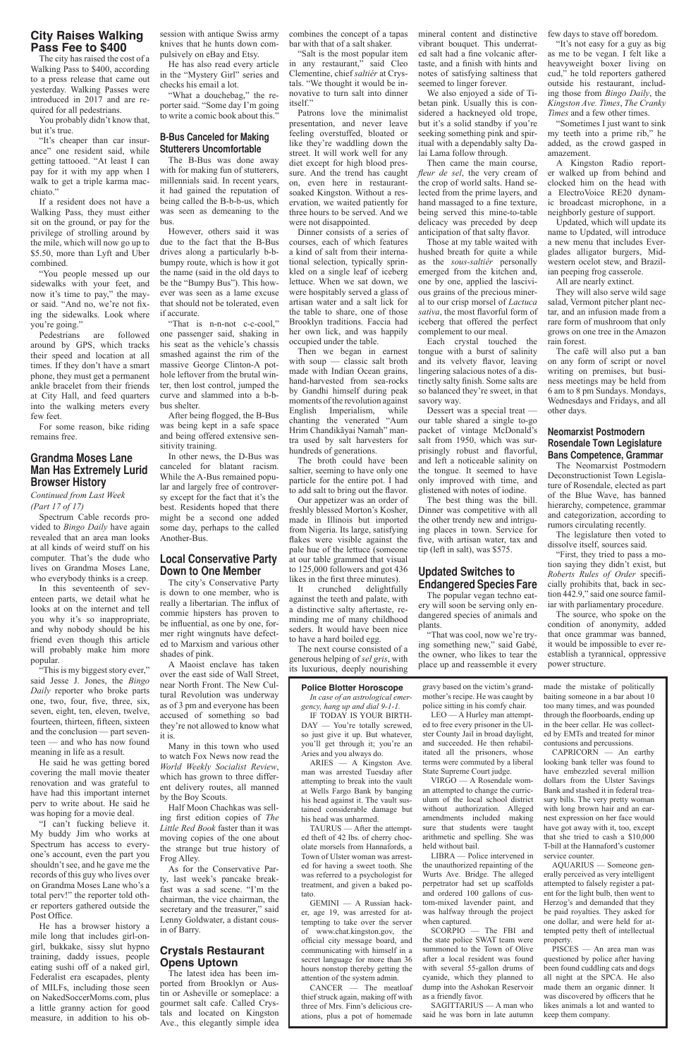## **City Raises Walking Pass Fee to \$400**

The city has raised the cost of a Walking Pass to \$400, according to a press release that came out yesterday. Walking Passes were introduced in 2017 and are required for all pedestrians.

You probably didn't know that, but it's true.

"It's cheaper than car insurance" one resident said, while getting tattooed. "At least I can pay for it with my app when I walk to get a triple karma macchiato."

If a resident does not have a Walking Pass, they must either sit on the ground, or pay for the privilege of strolling around by the mile, which will now go up to \$5.50, more than Lyft and Uber combined.

"You people messed up our sidewalks with your feet, and now it's time to pay," the mayor said. "And no, we're not fixing the sidewalks. Look where you're going."

Pedestrians are followed around by GPS, which tracks their speed and location at all times. If they don't have a smart phone, they must get a permanent ankle bracelet from their friends at City Hall, and feed quarters into the walking meters every few feet.

For some reason, bike riding remains free.

#### **Grandma Moses Lane Man Has Extremely Lurid Browser History**

*Continued from Last Week (Part 17 of 17)*

Spectrum Cable records provided to *Bingo Daily* have again revealed that an area man looks at all kinds of weird stuff on his computer. That's the dude who lives on Grandma Moses Lane, who everybody thinks is a creep.

In this seventeenth of seventeen parts, we detail what he looks at on the internet and tell you why it's so inappropriate, and why nobody should be his friend even though this article will probably make him more popular.

"This is my biggest story ever," said Jesse J. Jones, the *Bingo Daily* reporter who broke parts one, two, four, five, three, six, seven, eight, ten, eleven, twelve, fourteen, thirteen, fifteen, sixteen and the conclusion — part seventeen — and who has now found meaning in life as a result.

He said he was getting bored

covering the mall movie theater renovation and was grateful to have had this important internet perv to write about. He said he was hoping for a movie deal.

"I can't fucking believe it. My buddy Jim who works at Spectrum has access to everyone's account, even the part you shouldn't see, and he gave me the records of this guy who lives over on Grandma Moses Lane who's a total perv!" the reporter told other reporters gathered outside the Post Office.

He has a browser history a mile long that includes girl-ongirl, bukkake, sissy slut hypno training, daddy issues, people eating sushi off of a naked girl, Federalist era escapades, plenty of MILFs, including those seen on NakedSoccerMoms.com, plus a little granny action for good measure, in addition to his ob-

session with antique Swiss army knives that he hunts down compulsively on eBay and Etsy.

He has also read every article in the "Mystery Girl" series and checks his email a lot.

"What a douchebag," the reporter said. "Some day I'm going to write a comic book about this."

#### **B-Bus Canceled for Making Stutterers Uncomfortable**

The B-Bus was done away with for making fun of stutterers, millennials said. In recent years, it had gained the reputation of being called the B-b-b-us, which was seen as demeaning to the bus.

However, others said it was due to the fact that the B-Bus drives along a particularly b-bbumpy route, which is how it got the name (said in the old days to be the "Bumpy Bus"). This however was seen as a lame excuse that should not be tolerated, even if accurate.

"That is n-n-not c-c-cool," one passenger said, shaking in his seat as the vehicle's chassis smashed against the rim of the massive George Clinton-A pothole leftover from the brutal winter, then lost control, jumped the curve and slammed into a b-bbus shelter.

After being flogged, the B-Bus was being kept in a safe space and being offered extensive sensitivity training.

In other news, the D-Bus was canceled for blatant racism. While the A-Bus remained popular and largely free of controversy except for the fact that it's the best. Residents hoped that there might be a second one added some day, perhaps to the called Another-Bus.

#### **Local Conservative Party Down to One Member**

The city's Conservative Party is down to one member, who is really a libertarian. The influx of commie hipsters has proven to be influential, as one by one, former right wingnuts have defected to Marxism and various other shades of pink.

A Maoist enclave has taken over the east side of Wall Street, near North Front. The New Cultural Revolution was underway as of 3 pm and everyone has been accused of something so bad they're not allowed to know what it is.

Many in this town who used to watch Fox News now read the *World Weekly Socialist Review*, which has grown to three different delivery routes, all manned by the Boy Scouts.

Half Moon Chachkas was selling first edition copies of *The Little Red Book* faster than it was moving copies of the one about the strange but true history of Frog Alley.

As for the Conservative Party, last week's pancake breakfast was a sad scene. "I'm the chairman, the vice chairman, the secretary and the treasurer," said Lenny Goldwater, a distant cousin of Barry.

#### **Crystals Restaurant Opens Uptown**

The latest idea has been imported from Brooklyn or Austin or Asheville or someplace: a gourmet salt cafe. Called Crystals and located on Kingston Ave., this elegantly simple idea

combines the concept of a tapas bar with that of a salt shaker.

"Salt is the most popular item in any restaurant," said Cleo Clementine, chief *saltiér* at Crystals. "We thought it would be innovative to turn salt into dinner itself."

Patrons love the minimalist presentation, and never leave feeling overstuffed, bloated or like they're waddling down the street. It will work well for any diet except for high blood pressure. And the trend has caught on, even here in restaurantsoaked Kingston. Without a reservation, we waited patiently for three hours to be served. And we were not disappointed.

Dinner consists of a series of courses, each of which features a kind of salt from their international selection, typically sprinkled on a single leaf of iceberg lettuce. When we sat down, we were hospitably served a glass of artisan water and a salt lick for the table to share, one of those Brooklyn traditions. Faccia had her own lick, and was happily occupied under the table.

Then we began in earnest with soup — classic salt broth made with Indian Ocean grains, hand-harvested from sea-rocks by Gandhi himself during peak moments of the revolution against English Imperialism, while chanting the venerated "Aum Hrim Chandikãyai Namah" mantra used by salt harvesters for hundreds of generations.

The broth could have been saltier, seeming to have only one particle for the entire pot. I had to add salt to bring out the flavor.

Our appetizer was an order of freshly blessed Morton's Kosher, made in Illinois but imported from Nigeria. Its large, satisfying flakes were visible against the pale hue of the lettuce (someone at our table grammed that visual to 125,000 followers and got 436 likes in the first three minutes).

It crunched delightfully against the teeth and palate, with a distinctive salty aftertaste, reminding me of many childhood seders. It would have been nice to have a hard boiled egg.

The next course consisted of a generous helping of *sel gris*, with its luxurious, deeply nourishing mineral content and distinctive vibrant bouquet. This underrated salt had a fine volcanic aftertaste, and a finish with hints and notes of satisfying saltiness that seemed to linger forever.

We also enjoyed a side of Tibetan pink. Usually this is considered a hackneyed old trope, but it's a solid standby if you're seeking something pink and spiritual with a dependably salty Dalai Lama follow through.

Then came the main course, *fleur de sel*, the very cream of the crop of world salts. Hand selected from the prime layers, and hand massaged to a fine texture, being served this mine-to-table delicacy was preceded by deep anticipation of that salty flavor.

Those at my table waited with hushed breath for quite a while as the *sous-saltiér* personally emerged from the kitchen and, one by one, applied the lascivious grains of the precious mineral to our crisp morsel of *Lactuca sativa*, the most flavorful form of iceberg that offered the perfect complement to our meal.

Each crystal touched the tongue with a burst of salinity and its velvety flavor, leaving lingering salacious notes of a distinctly salty finish. Some salts are so balanced they're sweet, in that savory way.

Dessert was a special treat our table shared a single to-go packet of vintage McDonald's salt from 1950, which was surprisingly robust and flavorful, and left a noticeable salinity on the tongue. It seemed to have only improved with time, and glistened with notes of iodine.

The best thing was the bill. Dinner was competitive with all the other trendy new and intriguing places in town. Service for five, with artisan water, tax and tip (left in salt), was \$575.

#### **Updated Switches to Endangered Species Fare**

The popular vegan techno eatery will soon be serving only endangered species of animals and plants.

"That was cool, now we're trying something new," said Gabé, the owner, who likes to tear the place up and reassemble it every

few days to stave off boredom.

"It's not easy for a guy as big as me to be vegan. I felt like a heavyweight boxer living on cud," he told reporters gathered outside his restaurant, including those from *Bingo Daily*, the *Kingston Ave. Times*, *The Cranky Times* and a few other times.

"Sometimes I just want to sink my teeth into a prime rib," he added, as the crowd gasped in amazement.

A Kingston Radio reporter walked up from behind and clocked him on the head with a ElectroVoice RE20 dynamic broadcast microphone, in a neighborly gesture of support.

Updated, which will update its name to Updated, will introduce a new menu that includes Everglades alligator burgers, Midwestern ocelot stew, and Brazilian peeping frog casserole.

All are nearly extinct.

They will also serve wild sage salad, Vermont pitcher plant nectar, and an infusion made from a rare form of mushroom that only grows on one tree in the Amazon rain forest.

The café will also put a ban on any form of script or novel writing on premises, but business meetings may be held from 6 am to 8 pm Sundays. Mondays, Wednesdays and Fridays, and all other days.

#### **Neomarxist Postmodern Rosendale Town Legislature Bans Competence, Grammar**

The Neomarxist Postmodern Deconstructionist Town Legislature of Rosendale, elected as part of the Blue Wave, has banned hierarchy, competence, grammar and categorization, according to rumors circulating recently.

The legislature then voted to dissolve itself, sources said.

"First, they tried to pass a motion saying they didn't exist, but *Roberts Rules of Order* specificially prohibits that, back in section 442.9," said one source familiar with parliamentary procedure.

The source, who spoke on the condition of anonymity, added that once grammar was banned, it would be impossible to ever reestablish a tyrannical, oppressive power structure.

#### **Police Blotter Horoscope**

*In case of an astrological emergency, hang up and dial 9-1-1.*

IF TODAY IS YOUR BIRTH-DAY — You're totally screwed, so just give it up. But whatever,

you'll get through it; you're an

Aries and you always do. ARIES — A Kingston Ave. man was arrested Tuesday after attempting to break into the vault at Wells Fargo Bank by banging his head against it. The vault sustained considerable damage but his head was unharmed. TAURUS — After the attempted theft of 42 lbs. of cherry chocolate morsels from Hannafords, a Town of Ulster woman was arrested for having a sweet tooth. She was referred to a psychologist for treatment, and given a baked potato GEMINI — A Russian hacker, age 19, was arrested for attempting to take over the server of www.chat.kingston.gov, the official city message board, and communicating with himself in a secret language for more than 36 hours nonstop thereby getting the attention of the system admin. CANCER — The meatloaf thief struck again, making off with three of Mrs. Finn's delicious creations, plus a pot of homemade

gravy based on the victim's grandmother's recipe. He was caught by police sitting in his comfy chair.

LEO — A Hurley man attempted to free every prisoner in the Ulster County Jail in broad daylight, and succeeded. He then rehabilitated all the prisoners, whose terms were commuted by a liberal

State Supreme Court judge.

VIRGO — A Rosendale woman attempted to change the curriculum of the local school district without authorization. Alleged amendments included making sure that students were taught arithmetic and spelling. She was held without bail.

LIBRA — Police intervened in the unauthorized repainting of the Wurts Ave. Bridge. The alleged perpetrator had set up scaffolds and ordered 100 gallons of custom-mixed lavender paint, and was halfway through the project when captured.

SCORPIO — The FBI and the state police SWAT team were summoned to the Town of Olive after a local resident was found with several 55-gallon drums of cyanide, which they planned to dump into the Ashokan Reservoir as a friendly favor.

SAGITTARIUS — A man who said he was born in late autumn

made the mistake of politically baiting someone in a bar about 10 too many times, and was pounded through the floorboards, ending up in the beer cellar. He was collected by EMTs and treated for minor contusions and percussions.

CAPRICORN — An earthy looking bank teller was found to

have embezzled several million dollars from the Ulster Savings Bank and stashed it in federal treasury bills. The very pretty woman with long brown hair and an earnest expression on her face would have got away with it, too, except that she tried to cash a \$10,000 T-bill at the Hannaford's customer service counter.

AQUARIUS — Someone generally perceived as very intelligent attempted to falsely register a patent for the light bulb, then went to Herzog's and demanded that they be paid royalties. They asked for one dollar, and were held for attempted petty theft of intellectual property.

PISCES — An area man was questioned by police after having been found cuddling cats and dogs all night at the SPCA. He also made them an organic dinner. It was discovered by officers that he likes animals a lot and wanted to keep them company.